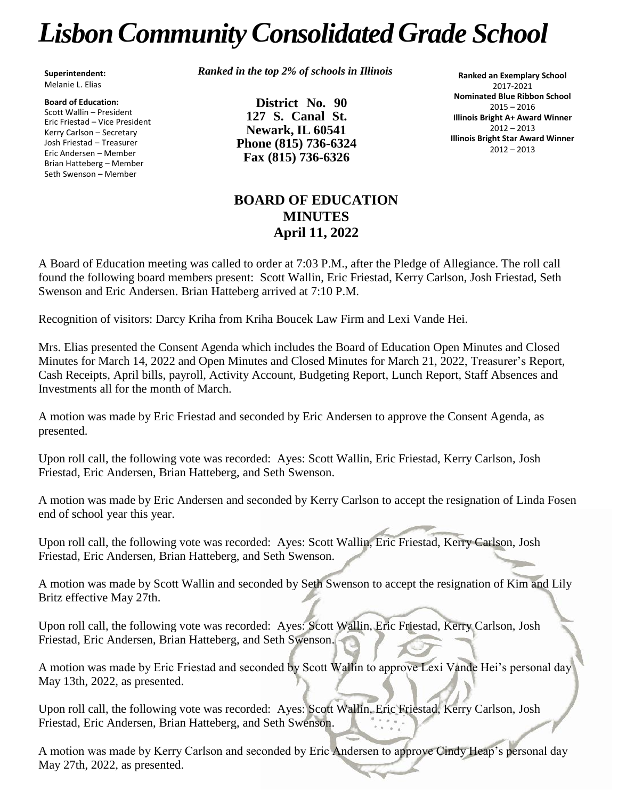# *LisbonCommunityConsolidated Grade School*

**Superintendent:** Melanie L. Elias

**Board of Education:** Scott Wallin – President Eric Friestad – Vice President Kerry Carlson – Secretary Josh Friestad – Treasurer Eric Andersen – Member Brian Hatteberg – Member Seth Swenson – Member

*Ranked in the top 2% of schools in Illinois*

**District No. 90 127 S. Canal St. Newark, IL 60541 Phone (815) 736-6324 Fax (815) 736-6326**

**Ranked an Exemplary School** 2017-2021 **Nominated Blue Ribbon School** 2015 – 2016 **Illinois Bright A+ Award Winner** 2012 – 2013 **Illinois Bright Star Award Winner** 2012 – 2013

# **BOARD OF EDUCATION MINUTES April 11, 2022**

A Board of Education meeting was called to order at 7:03 P.M., after the Pledge of Allegiance. The roll call found the following board members present: Scott Wallin, Eric Friestad, Kerry Carlson, Josh Friestad, Seth Swenson and Eric Andersen. Brian Hatteberg arrived at 7:10 P.M.

Recognition of visitors: Darcy Kriha from Kriha Boucek Law Firm and Lexi Vande Hei.

Mrs. Elias presented the Consent Agenda which includes the Board of Education Open Minutes and Closed Minutes for March 14, 2022 and Open Minutes and Closed Minutes for March 21, 2022, Treasurer's Report, Cash Receipts, April bills, payroll, Activity Account, Budgeting Report, Lunch Report, Staff Absences and Investments all for the month of March.

A motion was made by Eric Friestad and seconded by Eric Andersen to approve the Consent Agenda, as presented.

Upon roll call, the following vote was recorded: Ayes: Scott Wallin, Eric Friestad, Kerry Carlson, Josh Friestad, Eric Andersen, Brian Hatteberg, and Seth Swenson.

A motion was made by Eric Andersen and seconded by Kerry Carlson to accept the resignation of Linda Fosen end of school year this year.

Upon roll call, the following vote was recorded: Ayes: Scott Wallin, Eric Friestad, Kerry Carlson, Josh Friestad, Eric Andersen, Brian Hatteberg, and Seth Swenson.

A motion was made by Scott Wallin and seconded by Seth Swenson to accept the resignation of Kim and Lily Britz effective May 27th.

Upon roll call, the following vote was recorded: Ayes: Scott Wallin, Eric Friestad, Kerry Carlson, Josh Friestad, Eric Andersen, Brian Hatteberg, and Seth Swenson.

A motion was made by Eric Friestad and seconded by Scott Wallin to approve Lexi Vande Hei's personal day May 13th, 2022, as presented.

Upon roll call, the following vote was recorded: Ayes: Scott Wallin, Eric Friestad, Kerry Carlson, Josh Friestad, Eric Andersen, Brian Hatteberg, and Seth Swenson.

A motion was made by Kerry Carlson and seconded by Eric Andersen to approve Cindy Heap's personal day May 27th, 2022, as presented.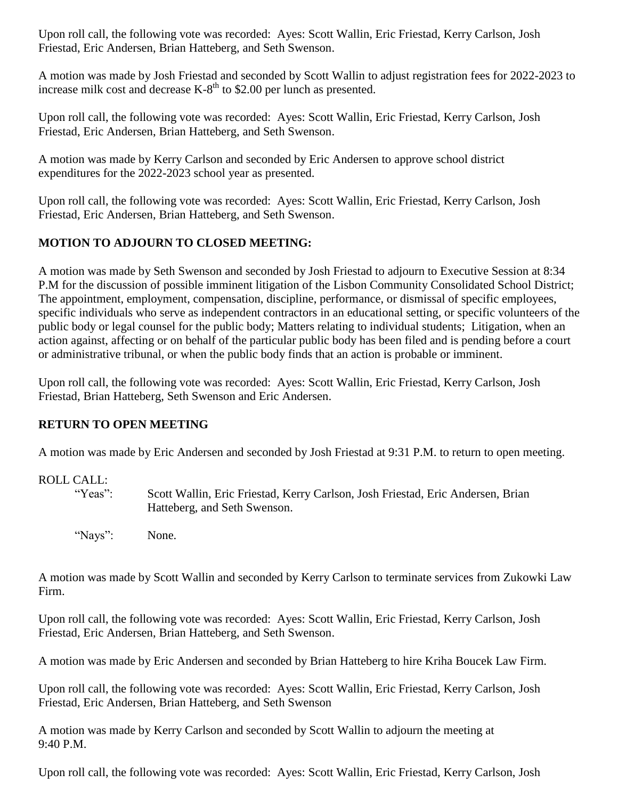Upon roll call, the following vote was recorded: Ayes: Scott Wallin, Eric Friestad, Kerry Carlson, Josh Friestad, Eric Andersen, Brian Hatteberg, and Seth Swenson.

A motion was made by Josh Friestad and seconded by Scott Wallin to adjust registration fees for 2022-2023 to increase milk cost and decrease  $K-8^{th}$  to \$2.00 per lunch as presented.

Upon roll call, the following vote was recorded: Ayes: Scott Wallin, Eric Friestad, Kerry Carlson, Josh Friestad, Eric Andersen, Brian Hatteberg, and Seth Swenson.

A motion was made by Kerry Carlson and seconded by Eric Andersen to approve school district expenditures for the 2022-2023 school year as presented.

Upon roll call, the following vote was recorded: Ayes: Scott Wallin, Eric Friestad, Kerry Carlson, Josh Friestad, Eric Andersen, Brian Hatteberg, and Seth Swenson.

## **MOTION TO ADJOURN TO CLOSED MEETING:**

A motion was made by Seth Swenson and seconded by Josh Friestad to adjourn to Executive Session at 8:34 P.M for the discussion of possible imminent litigation of the Lisbon Community Consolidated School District; The appointment, employment, compensation, discipline, performance, or dismissal of specific employees, specific individuals who serve as independent contractors in an educational setting, or specific volunteers of the public body or legal counsel for the public body; Matters relating to individual students; Litigation, when an action against, affecting or on behalf of the particular public body has been filed and is pending before a court or administrative tribunal, or when the public body finds that an action is probable or imminent.

Upon roll call, the following vote was recorded: Ayes: Scott Wallin, Eric Friestad, Kerry Carlson, Josh Friestad, Brian Hatteberg, Seth Swenson and Eric Andersen.

### **RETURN TO OPEN MEETING**

A motion was made by Eric Andersen and seconded by Josh Friestad at 9:31 P.M. to return to open meeting.

### ROLL CALL:

"Yeas": Scott Wallin, Eric Friestad, Kerry Carlson, Josh Friestad, Eric Andersen, Brian Hatteberg, and Seth Swenson.

"Nays": None.

A motion was made by Scott Wallin and seconded by Kerry Carlson to terminate services from Zukowki Law Firm.

Upon roll call, the following vote was recorded: Ayes: Scott Wallin, Eric Friestad, Kerry Carlson, Josh Friestad, Eric Andersen, Brian Hatteberg, and Seth Swenson.

A motion was made by Eric Andersen and seconded by Brian Hatteberg to hire Kriha Boucek Law Firm.

Upon roll call, the following vote was recorded: Ayes: Scott Wallin, Eric Friestad, Kerry Carlson, Josh Friestad, Eric Andersen, Brian Hatteberg, and Seth Swenson

A motion was made by Kerry Carlson and seconded by Scott Wallin to adjourn the meeting at 9:40 P.M.

Upon roll call, the following vote was recorded: Ayes: Scott Wallin, Eric Friestad, Kerry Carlson, Josh